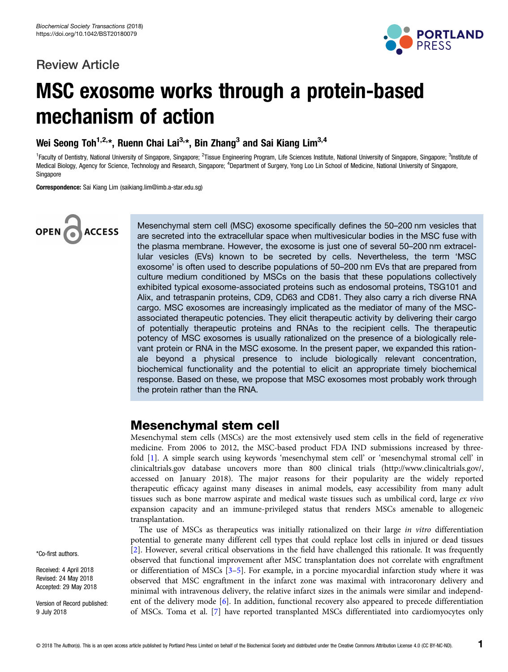## Review Article



# MSC exosome works through a protein-based mechanism of action

Wei Seong Toh<sup>1,2,\*</sup>, Ruenn Chai Lai<sup>3,\*</sup>, Bin Zhang<sup>3</sup> and Sai Kiang Lim<sup>3,4</sup>

<sup>1</sup>Faculty of Dentistry, National University of Singapore, Singapore; <sup>2</sup>Tissue Engineering Program, Life Sciences Institute, National University of Singapore, Singapore; <sup>3</sup>Institute of Medical Biology, Agency for Science, Technology and Research, Singapore; <sup>4</sup>Department of Surgery, Yong Loo Lin School of Medicine, National University of Singapore, Singapore

Correspondence: Sai Kiang Lim (saikiang.lim@imb.a-star.edu.sg)



Mesenchymal stem cell (MSC) exosome specifically defines the 50–200 nm vesicles that are secreted into the extracellular space when multivesicular bodies in the MSC fuse with the plasma membrane. However, the exosome is just one of several 50–200 nm extracellular vesicles (EVs) known to be secreted by cells. Nevertheless, the term 'MSC exosome' is often used to describe populations of 50–200 nm EVs that are prepared from culture medium conditioned by MSCs on the basis that these populations collectively exhibited typical exosome-associated proteins such as endosomal proteins, TSG101 and Alix, and tetraspanin proteins, CD9, CD63 and CD81. They also carry a rich diverse RNA cargo. MSC exosomes are increasingly implicated as the mediator of many of the MSCassociated therapeutic potencies. They elicit therapeutic activity by delivering their cargo of potentially therapeutic proteins and RNAs to the recipient cells. The therapeutic potency of MSC exosomes is usually rationalized on the presence of a biologically relevant protein or RNA in the MSC exosome. In the present paper, we expanded this rationale beyond a physical presence to include biologically relevant concentration, biochemical functionality and the potential to elicit an appropriate timely biochemical response. Based on these, we propose that MSC exosomes most probably work through the protein rather than the RNA.

## Mesenchymal stem cell

Mesenchymal stem cells (MSCs) are the most extensively used stem cells in the field of regenerative medicine. From 2006 to 2012, the MSC-based product FDA IND submissions increased by threefold [\[1](#page-7-0)]. A simple search using keywords 'mesenchymal stem cell' or 'mesenchymal stromal cell' in clinicaltrials.gov database uncovers more than 800 clinical trials ([http://www.clinicaltrials.gov/,](http://www.clinicaltrials.gov/) accessed on January 2018). The major reasons for their popularity are the widely reported therapeutic efficacy against many diseases in animal models, easy accessibility from many adult tissues such as bone marrow aspirate and medical waste tissues such as umbilical cord, large ex vivo expansion capacity and an immune-privileged status that renders MSCs amenable to allogeneic transplantation.

The use of MSCs as therapeutics was initially rationalized on their large in vitro differentiation potential to generate many different cell types that could replace lost cells in injured or dead tissues [[2](#page-7-0)]. However, several critical observations in the field have challenged this rationale. It was frequently observed that functional improvement after MSC transplantation does not correlate with engraftment or differentiation of MSCs [[3](#page-7-0)–[5](#page-7-0)]. For example, in a porcine myocardial infarction study where it was observed that MSC engraftment in the infarct zone was maximal with intracoronary delivery and minimal with intravenous delivery, the relative infarct sizes in the animals were similar and independent of the delivery mode [\[6](#page-7-0)]. In addition, functional recovery also appeared to precede differentiation of MSCs. Toma et al. [[7\]](#page-7-0) have reported transplanted MSCs differentiated into cardiomyocytes only

\*Co-first authors.

Received: 4 April 2018 Revised: 24 May 2018 Accepted: 29 May 2018

Version of Record published: 9 July 2018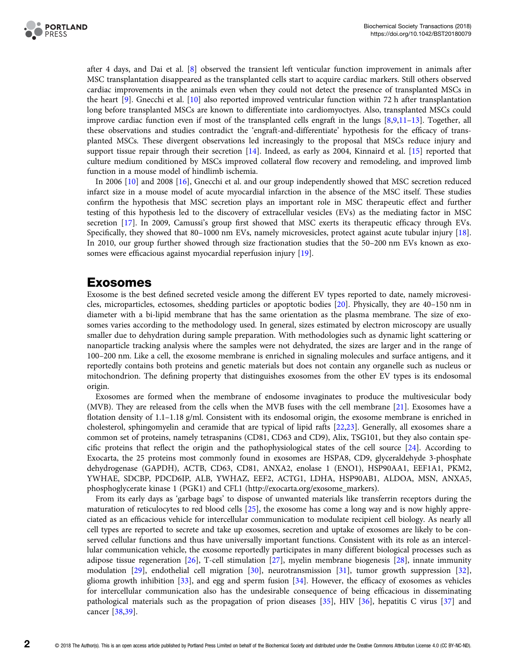

after 4 days, and Dai et al. [[8\]](#page-7-0) observed the transient left venticular function improvement in animals after MSC transplantation disappeared as the transplanted cells start to acquire cardiac markers. Still others observed cardiac improvements in the animals even when they could not detect the presence of transplanted MSCs in the heart [[9\]](#page-7-0). Gnecchi et al. [[10](#page-7-0)] also reported improved ventricular function within 72 h after transplantation long before transplanted MSCs are known to differentiate into cardiomyoctyes. Also, transplanted MSCs could improve cardiac function even if most of the transplanted cells engraft in the lungs [[8,9,11](#page-7-0)–[13](#page-7-0)]. Together, all these observations and studies contradict the 'engraft-and-differentiate' hypothesis for the efficacy of transplanted MSCs. These divergent observations led increasingly to the proposal that MSCs reduce injury and support tissue repair through their secretion [\[14\]](#page-7-0). Indeed, as early as 2004, Kinnaird et al. [[15](#page-7-0)] reported that culture medium conditioned by MSCs improved collateral flow recovery and remodeling, and improved limb function in a mouse model of hindlimb ischemia.

In 2006 [[10](#page-7-0)] and 2008 [\[16](#page-7-0)], Gnecchi et al. and our group independently showed that MSC secretion reduced infarct size in a mouse model of acute myocardial infarction in the absence of the MSC itself. These studies confirm the hypothesis that MSC secretion plays an important role in MSC therapeutic effect and further testing of this hypothesis led to the discovery of extracellular vesicles (EVs) as the mediating factor in MSC secretion [[17](#page-7-0)]. In 2009, Camussi's group first showed that MSC exerts its therapeutic efficacy through EVs. Specifically, they showed that 80–1000 nm EVs, namely microvesicles, protect against acute tubular injury [[18](#page-7-0)]. In 2010, our group further showed through size fractionation studies that the 50–200 nm EVs known as exosomes were efficacious against myocardial reperfusion injury [[19](#page-7-0)].

## Exosomes

Exosome is the best defined secreted vesicle among the different EV types reported to date, namely microvesicles, microparticles, ectosomes, shedding particles or apoptotic bodies [\[20\]](#page-7-0). Physically, they are 40–150 nm in diameter with a bi-lipid membrane that has the same orientation as the plasma membrane. The size of exosomes varies according to the methodology used. In general, sizes estimated by electron microscopy are usually smaller due to dehydration during sample preparation. With methodologies such as dynamic light scattering or nanoparticle tracking analysis where the samples were not dehydrated, the sizes are larger and in the range of 100–200 nm. Like a cell, the exosome membrane is enriched in signaling molecules and surface antigens, and it reportedly contains both proteins and genetic materials but does not contain any organelle such as nucleus or mitochondrion. The defining property that distinguishes exosomes from the other EV types is its endosomal origin.

Exosomes are formed when the membrane of endosome invaginates to produce the multivesicular body (MVB). They are released from the cells when the MVB fuses with the cell membrane [\[21](#page-7-0)]. Exosomes have a flotation density of 1.1–1.18 g/ml. Consistent with its endosomal origin, the exosome membrane is enriched in cholesterol, sphingomyelin and ceramide that are typical of lipid rafts [\[22,23\]](#page-7-0). Generally, all exosomes share a common set of proteins, namely tetraspanins (CD81, CD63 and CD9), Alix, TSG101, but they also contain specific proteins that reflect the origin and the pathophysiological states of the cell source [\[24](#page-7-0)]. According to Exocarta, the 25 proteins most commonly found in exosomes are HSPA8, CD9, glyceraldehyde 3-phosphate dehydrogenase (GAPDH), ACTB, CD63, CD81, ANXA2, enolase 1 (ENO1), HSP90AA1, EEF1A1, PKM2, YWHAE, SDCBP, PDCD6IP, ALB, YWHAZ, EEF2, ACTG1, LDHA, HSP90AB1, ALDOA, MSN, ANXA5, phosphoglycerate kinase 1 (PGK1) and CFL1 ([http://exocarta.org/exosome\\_markers](http://exocarta.org/exosome_markers)).

From its early days as 'garbage bags' to dispose of unwanted materials like transferrin receptors during the maturation of reticulocytes to red blood cells [[25](#page-7-0)], the exosome has come a long way and is now highly appreciated as an efficacious vehicle for intercellular communication to modulate recipient cell biology. As nearly all cell types are reported to secrete and take up exosomes, secretion and uptake of exosomes are likely to be conserved cellular functions and thus have universally important functions. Consistent with its role as an intercellular communication vehicle, the exosome reportedly participates in many different biological processes such as adipose tissue regeneration [[26](#page-8-0)], T-cell stimulation [[27\]](#page-8-0), myelin membrane biogenesis [[28](#page-8-0)], innate immunity modulation [\[29\]](#page-8-0), endothelial cell migration [[30](#page-8-0)], neurotransmission [\[31\]](#page-8-0), tumor growth suppression [[32](#page-8-0)], glioma growth inhibition [[33](#page-8-0)], and egg and sperm fusion [\[34\]](#page-8-0). However, the efficacy of exosomes as vehicles for intercellular communication also has the undesirable consequence of being efficacious in disseminating pathological materials such as the propagation of prion diseases [\[35\]](#page-8-0), HIV [[36](#page-8-0)], hepatitis C virus [\[37\]](#page-8-0) and cancer [\[38,39\]](#page-8-0).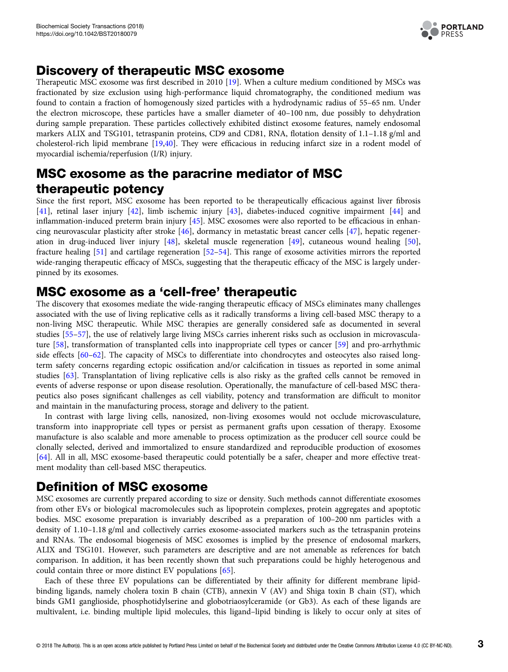

# Discovery of therapeutic MSC exosome

Therapeutic MSC exosome was first described in 2010 [[19](#page-7-0)]. When a culture medium conditioned by MSCs was fractionated by size exclusion using high-performance liquid chromatography, the conditioned medium was found to contain a fraction of homogenously sized particles with a hydrodynamic radius of 55–65 nm. Under the electron microscope, these particles have a smaller diameter of 40–100 nm, due possibly to dehydration during sample preparation. These particles collectively exhibited distinct exosome features, namely endosomal markers ALIX and TSG101, tetraspanin proteins, CD9 and CD81, RNA, flotation density of 1.1-1.18 g/ml and cholesterol-rich lipid membrane [\[19](#page-7-0)[,40\]](#page-8-0). They were efficacious in reducing infarct size in a rodent model of myocardial ischemia/reperfusion (I/R) injury.

# MSC exosome as the paracrine mediator of MSC therapeutic potency

Since the first report, MSC exosome has been reported to be therapeutically efficacious against liver fibrosis [[41\]](#page-8-0), retinal laser injury [[42\]](#page-8-0), limb ischemic injury [\[43\]](#page-8-0), diabetes-induced cognitive impairment [\[44\]](#page-8-0) and inflammation-induced preterm brain injury [\[45\]](#page-8-0). MSC exosomes were also reported to be efficacious in enhancing neurovascular plasticity after stroke [\[46\]](#page-8-0), dormancy in metastatic breast cancer cells [\[47](#page-8-0)], hepatic regeneration in drug-induced liver injury [[48](#page-8-0)], skeletal muscle regeneration [[49](#page-8-0)], cutaneous wound healing [[50\]](#page-8-0), fracture healing [[51](#page-8-0)] and cartilage regeneration [[52](#page-8-0)–[54\]](#page-8-0). This range of exosome activities mirrors the reported wide-ranging therapeutic efficacy of MSCs, suggesting that the therapeutic efficacy of the MSC is largely underpinned by its exosomes.

# MSC exosome as a 'cell-free' therapeutic

The discovery that exosomes mediate the wide-ranging therapeutic efficacy of MSCs eliminates many challenges associated with the use of living replicative cells as it radically transforms a living cell-based MSC therapy to a non-living MSC therapeutic. While MSC therapies are generally considered safe as documented in several studies [\[55](#page-8-0)–[57\]](#page-9-0), the use of relatively large living MSCs carries inherent risks such as occlusion in microvasculature [\[58\]](#page-9-0), transformation of transplanted cells into inappropriate cell types or cancer [\[59\]](#page-9-0) and pro-arrhythmic side effects [\[60](#page-9-0)–[62](#page-9-0)]. The capacity of MSCs to differentiate into chondrocytes and osteocytes also raised longterm safety concerns regarding ectopic ossification and/or calcification in tissues as reported in some animal studies [\[63\]](#page-9-0). Transplantation of living replicative cells is also risky as the grafted cells cannot be removed in events of adverse response or upon disease resolution. Operationally, the manufacture of cell-based MSC therapeutics also poses significant challenges as cell viability, potency and transformation are difficult to monitor and maintain in the manufacturing process, storage and delivery to the patient.

In contrast with large living cells, nanosized, non-living exosomes would not occlude microvasculature, transform into inappropriate cell types or persist as permanent grafts upon cessation of therapy. Exosome manufacture is also scalable and more amenable to process optimization as the producer cell source could be clonally selected, derived and immortalized to ensure standardized and reproducible production of exosomes [[64\]](#page-9-0). All in all, MSC exosome-based therapeutic could potentially be a safer, cheaper and more effective treatment modality than cell-based MSC therapeutics.

# Definition of MSC exosome

MSC exosomes are currently prepared according to size or density. Such methods cannot differentiate exosomes from other EVs or biological macromolecules such as lipoprotein complexes, protein aggregates and apoptotic bodies. MSC exosome preparation is invariably described as a preparation of 100–200 nm particles with a density of 1.10–1.18 g/ml and collectively carries exosome-associated markers such as the tetraspanin proteins and RNAs. The endosomal biogenesis of MSC exosomes is implied by the presence of endosomal markers, ALIX and TSG101. However, such parameters are descriptive and are not amenable as references for batch comparison. In addition, it has been recently shown that such preparations could be highly heterogenous and could contain three or more distinct EV populations [[65](#page-9-0)].

Each of these three EV populations can be differentiated by their affinity for different membrane lipidbinding ligands, namely cholera toxin B chain (CTB), annexin V (AV) and Shiga toxin B chain (ST), which binds GM1 ganglioside, phosphotidylserine and globotriaosylceramide (or Gb3). As each of these ligands are multivalent, i.e. binding multiple lipid molecules, this ligand–lipid binding is likely to occur only at sites of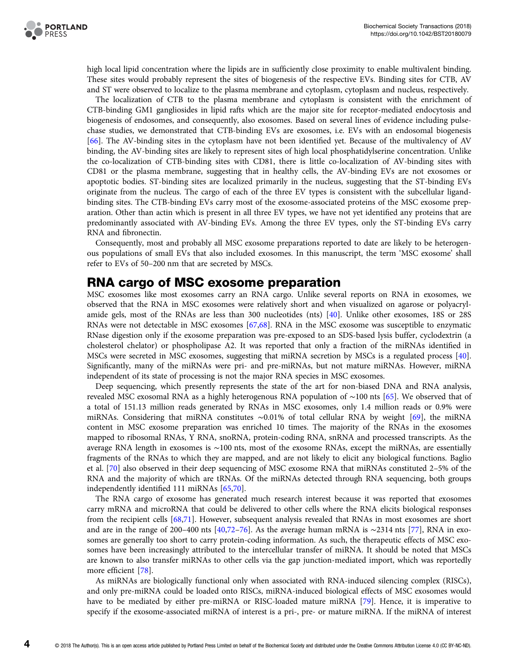

high local lipid concentration where the lipids are in sufficiently close proximity to enable multivalent binding. These sites would probably represent the sites of biogenesis of the respective EVs. Binding sites for CTB, AV and ST were observed to localize to the plasma membrane and cytoplasm, cytoplasm and nucleus, respectively.

The localization of CTB to the plasma membrane and cytoplasm is consistent with the enrichment of CTB-binding GM1 gangliosides in lipid rafts which are the major site for receptor-mediated endocytosis and biogenesis of endosomes, and consequently, also exosomes. Based on several lines of evidence including pulsechase studies, we demonstrated that CTB-binding EVs are exosomes, i.e. EVs with an endosomal biogenesis [[66](#page-9-0)]. The AV-binding sites in the cytoplasm have not been identified yet. Because of the multivalency of AV binding, the AV-binding sites are likely to represent sites of high local phosphatidylserine concentration. Unlike the co-localization of CTB-binding sites with CD81, there is little co-localization of AV-binding sites with CD81 or the plasma membrane, suggesting that in healthy cells, the AV-binding EVs are not exosomes or apoptotic bodies. ST-binding sites are localized primarily in the nucleus, suggesting that the ST-binding EVs originate from the nucleus. The cargo of each of the three EV types is consistent with the subcellular ligandbinding sites. The CTB-binding EVs carry most of the exosome-associated proteins of the MSC exosome preparation. Other than actin which is present in all three EV types, we have not yet identified any proteins that are predominantly associated with AV-binding EVs. Among the three EV types, only the ST-binding EVs carry RNA and fibronectin.

Consequently, most and probably all MSC exosome preparations reported to date are likely to be heterogenous populations of small EVs that also included exosomes. In this manuscript, the term 'MSC exosome' shall refer to EVs of 50–200 nm that are secreted by MSCs.

## RNA cargo of MSC exosome preparation

MSC exosomes like most exosomes carry an RNA cargo. Unlike several reports on RNA in exosomes, we observed that the RNA in MSC exosomes were relatively short and when visualized on agarose or polyacrylamide gels, most of the RNAs are less than 300 nucleotides (nts) [\[40\]](#page-8-0). Unlike other exosomes, 18S or 28S RNAs were not detectable in MSC exosomes [\[67,68\]](#page-9-0). RNA in the MSC exosome was susceptible to enzymatic RNase digestion only if the exosome preparation was pre-exposed to an SDS-based lysis buffer, cyclodextrin (a cholesterol chelator) or phospholipase A2. It was reported that only a fraction of the miRNAs identified in MSCs were secreted in MSC exosomes, suggesting that miRNA secretion by MSCs is a regulated process [[40](#page-8-0)]. Significantly, many of the miRNAs were pri- and pre-miRNAs, but not mature miRNAs. However, miRNA independent of its state of processing is not the major RNA species in MSC exosomes.

Deep sequencing, which presently represents the state of the art for non-biased DNA and RNA analysis, revealed MSC exosomal RNA as a highly heterogenous RNA population of ∼100 nts [\[65\]](#page-9-0). We observed that of a total of 151.13 million reads generated by RNAs in MSC exosomes, only 1.4 million reads or 0.9% were miRNAs. Considering that miRNA constitutes ∼0.01% of total cellular RNA by weight [[69](#page-9-0)], the miRNA content in MSC exosome preparation was enriched 10 times. The majority of the RNAs in the exosomes mapped to ribosomal RNAs, Y RNA, snoRNA, protein-coding RNA, snRNA and processed transcripts. As the average RNA length in exosomes is ∼100 nts, most of the exosome RNAs, except the miRNAs, are essentially fragments of the RNAs to which they are mapped, and are not likely to elicit any biological functions. Baglio et al. [\[70\]](#page-9-0) also observed in their deep sequencing of MSC exosome RNA that miRNAs constituted 2–5% of the RNA and the majority of which are tRNAs. Of the miRNAs detected through RNA sequencing, both groups independently identified 111 miRNAs [[65,70\]](#page-9-0).

The RNA cargo of exosome has generated much research interest because it was reported that exosomes carry mRNA and microRNA that could be delivered to other cells where the RNA elicits biological responses from the recipient cells [\[68,71\]](#page-9-0). However, subsequent analysis revealed that RNAs in most exosomes are short and are in the range of 200–400 nts [\[40](#page-8-0)[,72](#page-9-0)–[76\]](#page-9-0). As the average human mRNA is ∼2314 nts [[77\]](#page-9-0), RNA in exosomes are generally too short to carry protein-coding information. As such, the therapeutic effects of MSC exosomes have been increasingly attributed to the intercellular transfer of miRNA. It should be noted that MSCs are known to also transfer miRNAs to other cells via the gap junction-mediated import, which was reportedly more efficient [[78](#page-9-0)].

As miRNAs are biologically functional only when associated with RNA-induced silencing complex (RISCs), and only pre-miRNA could be loaded onto RISCs, miRNA-induced biological effects of MSC exosomes would have to be mediated by either pre-miRNA or RISC-loaded mature miRNA [\[79](#page-9-0)]. Hence, it is imperative to specify if the exosome-associated miRNA of interest is a pri-, pre- or mature miRNA. If the miRNA of interest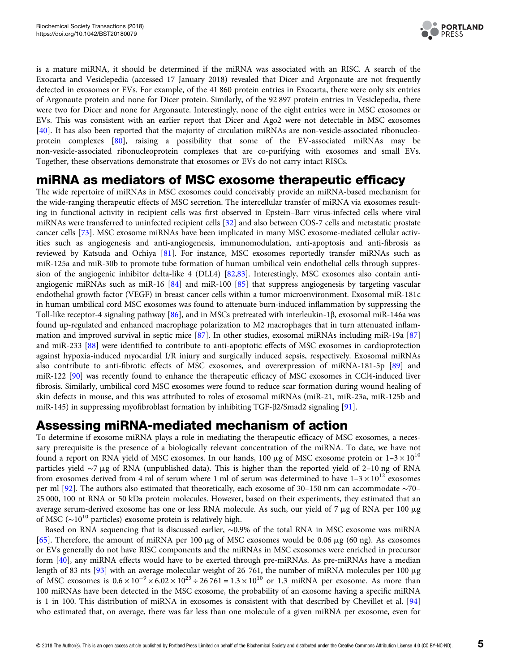

is a mature miRNA, it should be determined if the miRNA was associated with an RISC. A search of the Exocarta and Vesiclepedia (accessed 17 January 2018) revealed that Dicer and Argonaute are not frequently detected in exosomes or EVs. For example, of the 41 860 protein entries in Exocarta, there were only six entries of Argonaute protein and none for Dicer protein. Similarly, of the 92 897 protein entries in Vesiclepedia, there were two for Dicer and none for Argonaute. Interestingly, none of the eight entries were in MSC exosomes or EVs. This was consistent with an earlier report that Dicer and Ago2 were not detectable in MSC exosomes [[40\]](#page-8-0). It has also been reported that the majority of circulation miRNAs are non-vesicle-associated ribonucleoprotein complexes [\[80\]](#page-9-0), raising a possibility that some of the EV-associated miRNAs may be non-vesicle-associated ribonucleoprotein complexes that are co-purifying with exosomes and small EVs. Together, these observations demonstrate that exosomes or EVs do not carry intact RISCs.

# miRNA as mediators of MSC exosome therapeutic efficacy

The wide repertoire of miRNAs in MSC exosomes could conceivably provide an miRNA-based mechanism for the wide-ranging therapeutic effects of MSC secretion. The intercellular transfer of miRNA via exosomes resulting in functional activity in recipient cells was first observed in Epstein–Barr virus-infected cells where viral miRNAs were transferred to uninfected recipient cells [\[32\]](#page-8-0) and also between COS-7 cells and metastatic prostate cancer cells [\[73\]](#page-9-0). MSC exosome miRNAs have been implicated in many MSC exosome-mediated cellular activities such as angiogenesis and anti-angiogenesis, immunomodulation, anti-apoptosis and anti-fibrosis as reviewed by Katsuda and Ochiya [[81](#page-9-0)]. For instance, MSC exosomes reportedly transfer miRNAs such as miR-125a and miR-30b to promote tube formation of human umbilical vein endothelial cells through suppression of the angiogenic inhibitor delta-like 4 (DLL4) [\[82,83\]](#page-9-0). Interestingly, MSC exosomes also contain antiangiogenic miRNAs such as miR-16 [\[84\]](#page-9-0) and miR-100 [[85](#page-9-0)] that suppress angiogenesis by targeting vascular endothelial growth factor (VEGF) in breast cancer cells within a tumor microenvironment. Exosomal miR-181c in human umbilical cord MSC exosomes was found to attenuate burn-induced inflammation by suppressing the Toll-like receptor-4 signaling pathway [[86](#page-10-0)], and in MSCs pretreated with interleukin-1β, exosomal miR-146a was found up-regulated and enhanced macrophage polarization to M2 macrophages that in turn attenuated inflammation and improved survival in septic mice [\[87](#page-10-0)]. In other studies, exosomal miRNAs including miR-19a [\[87\]](#page-10-0) and miR-233 [[88](#page-10-0)] were identified to contribute to anti-apoptotic effects of MSC exosomes in cardioprotection against hypoxia-induced myocardial I/R injury and surgically induced sepsis, respectively. Exosomal miRNAs also contribute to anti-fibrotic effects of MSC exosomes, and overexpression of miRNA-181-5p [[89](#page-10-0)] and miR-122 [\[90\]](#page-10-0) was recently found to enhance the therapeutic efficacy of MSC exosomes in CCl4-induced liver fibrosis. Similarly, umbilical cord MSC exosomes were found to reduce scar formation during wound healing of skin defects in mouse, and this was attributed to roles of exosomal miRNAs (miR-21, miR-23a, miR-125b and miR-145) in suppressing myofibroblast formation by inhibiting TGF-β2/Smad2 signaling [[91](#page-10-0)].

# Assessing miRNA-mediated mechanism of action

To determine if exosome miRNA plays a role in mediating the therapeutic efficacy of MSC exosomes, a necessary prerequisite is the presence of a biologically relevant concentration of the miRNA. To date, we have not found a report on RNA yield of MSC exosomes. In our hands, 100  $\mu$ g of MSC exosome protein or  $1-3 \times 10^{10}$ particles yield ∼7 mg of RNA (unpublished data). This is higher than the reported yield of 2–10 ng of RNA from exosomes derived from 4 ml of serum where 1 ml of serum was determined to have  $1-3 \times 10^{12}$  exosomes per ml [[92](#page-10-0)]. The authors also estimated that theoretically, each exosome of 30–150 nm can accommodate ∼70– 25 000, 100 nt RNA or 50 kDa protein molecules. However, based on their experiments, they estimated that an average serum-derived exosome has one or less RNA molecule. As such, our yield of 7 µg of RNA per 100 µg of MSC ( $\sim$ 10<sup>10</sup> particles) exosome protein is relatively high.

Based on RNA sequencing that is discussed earlier, ∼0.9% of the total RNA in MSC exosome was miRNA [[65\]](#page-9-0). Therefore, the amount of miRNA per 100  $\mu$ g of MSC exosomes would be 0.06  $\mu$ g (60 ng). As exosomes or EVs generally do not have RISC components and the miRNAs in MSC exosomes were enriched in precursor form [\[40\]](#page-8-0), any miRNA effects would have to be exerted through pre-miRNAs. As pre-miRNAs have a median length of 83 nts [[93](#page-10-0)] with an average molecular weight of 26 761, the number of miRNA molecules per 100  $\mu$ g of MSC exosomes is  $0.6 \times 10^{-9} \times 6.02 \times 10^{23} \div 26.761 = 1.3 \times 10^{10}$  or 1.3 miRNA per exosome. As more than 100 miRNAs have been detected in the MSC exosome, the probability of an exosome having a specific miRNA is 1 in 100. This distribution of miRNA in exosomes is consistent with that described by Chevillet et al. [\[94\]](#page-10-0) who estimated that, on average, there was far less than one molecule of a given miRNA per exosome, even for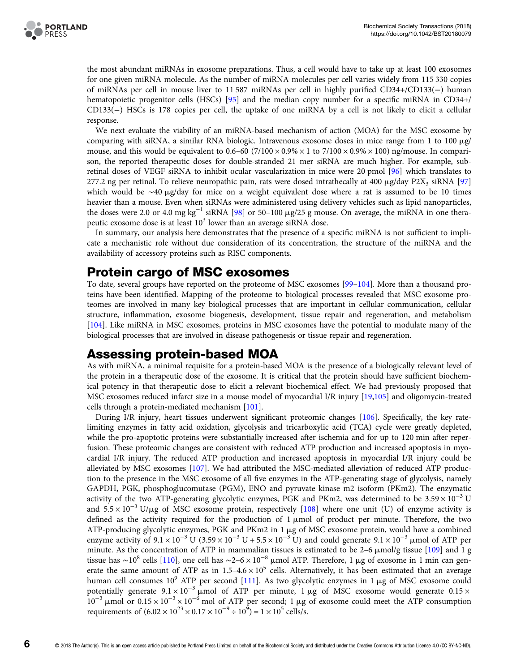the most abundant miRNAs in exosome preparations. Thus, a cell would have to take up at least 100 exosomes for one given miRNA molecule. As the number of miRNA molecules per cell varies widely from 115 330 copies of miRNAs per cell in mouse liver to 11 587 miRNAs per cell in highly purified CD34+/CD133(−) human hematopoietic progenitor cells (HSCs) [[95](#page-10-0)] and the median copy number for a specific miRNA in CD34+/ CD133(−) HSCs is 178 copies per cell, the uptake of one miRNA by a cell is not likely to elicit a cellular response.

We next evaluate the viability of an miRNA-based mechanism of action (MOA) for the MSC exosome by comparing with siRNA, a similar RNA biologic. Intravenous exosome doses in mice range from 1 to 100  $\mu$ g/ mouse, and this would be equivalent to  $0.6-60$  (7/100  $\times$  0.9%  $\times$  1 to 7/100  $\times$  0.9%  $\times$  100) ng/mouse. In comparison, the reported therapeutic doses for double-stranded 21 mer siRNA are much higher. For example, subretinal doses of VEGF siRNA to inhibit ocular vascularization in mice were 20 pmol [[96](#page-10-0)] which translates to 277.2 ng per retinal. To relieve neuropathic pain, rats were dosed intrathecally at 400  $\mu$ g/day P2X<sub>3</sub> siRNA [[97](#page-10-0)] which would be ∼40 μg/day for mice on a weight equivalent dose where a rat is assumed to be 10 times heavier than a mouse. Even when siRNAs were administered using delivery vehicles such as lipid nanoparticles, the doses were 2.0 or 4.0 mg kg<sup>-1</sup> siRNA [[98](#page-10-0)] or 50–100  $\mu$ g/25 g mouse. On average, the miRNA in one therapeutic exosome dose is at least  $10<sup>3</sup>$  lower than an average siRNA dose.

In summary, our analysis here demonstrates that the presence of a specific miRNA is not sufficient to implicate a mechanistic role without due consideration of its concentration, the structure of the miRNA and the availability of accessory proteins such as RISC components.

## Protein cargo of MSC exosomes

To date, several groups have reported on the proteome of MSC exosomes [[99](#page-10-0)–[104\]](#page-10-0). More than a thousand proteins have been identified. Mapping of the proteome to biological processes revealed that MSC exosome proteomes are involved in many key biological processes that are important in cellular communication, cellular structure, inflammation, exosome biogenesis, development, tissue repair and regeneration, and metabolism [[104\]](#page-10-0). Like miRNA in MSC exosomes, proteins in MSC exosomes have the potential to modulate many of the biological processes that are involved in disease pathogenesis or tissue repair and regeneration.

# Assessing protein-based MOA

As with miRNA, a minimal requisite for a protein-based MOA is the presence of a biologically relevant level of the protein in a therapeutic dose of the exosome. It is critical that the protein should have sufficient biochemical potency in that therapeutic dose to elicit a relevant biochemical effect. We had previously proposed that MSC exosomes reduced infarct size in a mouse model of myocardial I/R injury [[19](#page-7-0),[105](#page-10-0)] and oligomycin-treated cells through a protein-mediated mechanism [[101](#page-10-0)].

During I/R injury, heart tissues underwent significant proteomic changes [[106](#page-10-0)]. Specifically, the key ratelimiting enzymes in fatty acid oxidation, glycolysis and tricarboxylic acid (TCA) cycle were greatly depleted, while the pro-apoptotic proteins were substantially increased after ischemia and for up to 120 min after reperfusion. These proteomic changes are consistent with reduced ATP production and increased apoptosis in myocardial I/R injury. The reduced ATP production and increased apoptosis in myocardial I/R injury could be alleviated by MSC exosomes [\[107\]](#page-10-0). We had attributed the MSC-mediated alleviation of reduced ATP production to the presence in the MSC exosome of all five enzymes in the ATP-generating stage of glycolysis, namely GAPDH, PGK, phosphoglucomutase (PGM), ENO and pyruvate kinase m2 isoform (PKm2). The enzymatic activity of the two ATP-generating glycolytic enzymes, PGK and PKm2, was determined to be  $3.59 \times 10^{-3}$  U and  $5.5 \times 10^{-3}$  U/µg of MSC exosome protein, respectively [[108](#page-10-0)] where one unit (U) of enzyme activity is defined as the activity required for the production of  $1 \mu$ mol of product per minute. Therefore, the two ATP-producing glycolytic enzymes, PGK and PKm2 in 1  $\mu$ g of MSC exosome protein, would have a combined enzyme activity of  $9.1 \times 10^{-3}$  U (3.59  $\times 10^{-3}$  U + 5.5  $\times 10^{-3}$  U) and could generate  $9.1 \times 10^{-3}$  µmol of ATP per minute. As the concentration of ATP in mammalian tissues is estimated to be  $2-6 \mu$ mol/g tissue [[109\]](#page-10-0) and 1 g tissue has ~10<sup>8</sup> cells [[110](#page-10-0)], one cell has ~2–6 × 10<sup>-8</sup> μmol ATP. Therefore, 1 μg of exosome in 1 min can generate the same amount of ATP as in  $1.5-4.6 \times 10^5$  cells. Alternatively, it has been estimated that an average human cell consumes  $10^9$  ATP per second [[111](#page-10-0)]. As two glycolytic enzymes in 1  $\mu$ g of MSC exosome could potentially generate  $9.1 \times 10^{-3}$  µmol of ATP per minute, 1 µg of MSC exosome would generate 0.15 ×  $10^{-3}$  μmol or  $0.15 \times 10^{-3} \times 10^{-6}$  mol of ATP per second; 1 μg of exosome could meet the ATP consumption requirements of  $(6.02 \times 10^{23} \times 0.17 \times 10^{-9} \div 10^5) = 1 \times 10^5$  cells/s.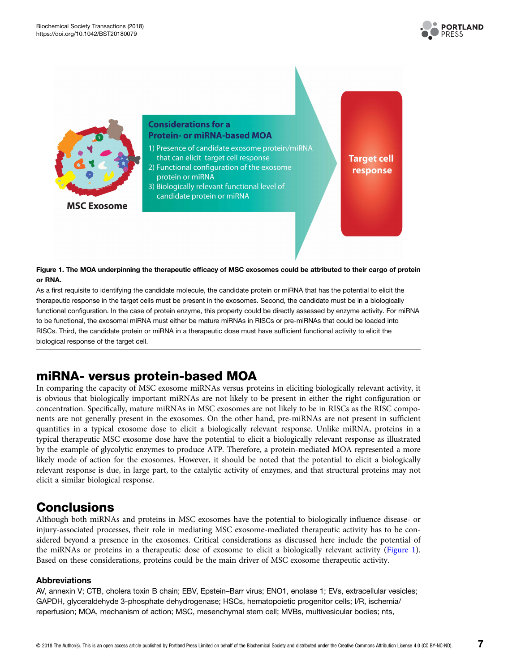



**MSC Exosome** 

### **Considerations for a Protein- or miRNA-based MOA**

- 1) Presence of candidate exosome protein/miRNA that can elicit target cell response
- 2) Functional configuration of the exosome protein or miRNA
- 3) Biologically relevant functional level of candidate protein or miRNA

**Target cell** response

#### Figure 1. The MOA underpinning the therapeutic efficacy of MSC exosomes could be attributed to their cargo of protein or RNA.

As a first requisite to identifying the candidate molecule, the candidate protein or miRNA that has the potential to elicit the therapeutic response in the target cells must be present in the exosomes. Second, the candidate must be in a biologically functional configuration. In the case of protein enzyme, this property could be directly assessed by enzyme activity. For miRNA to be functional, the exosomal miRNA must either be mature miRNAs in RISCs or pre-miRNAs that could be loaded into RISCs. Third, the candidate protein or miRNA in a therapeutic dose must have sufficient functional activity to elicit the biological response of the target cell.

# miRNA- versus protein-based MOA

In comparing the capacity of MSC exosome miRNAs versus proteins in eliciting biologically relevant activity, it is obvious that biologically important miRNAs are not likely to be present in either the right configuration or concentration. Specifically, mature miRNAs in MSC exosomes are not likely to be in RISCs as the RISC components are not generally present in the exosomes. On the other hand, pre-miRNAs are not present in sufficient quantities in a typical exosome dose to elicit a biologically relevant response. Unlike miRNA, proteins in a typical therapeutic MSC exosome dose have the potential to elicit a biologically relevant response as illustrated by the example of glycolytic enzymes to produce ATP. Therefore, a protein-mediated MOA represented a more likely mode of action for the exosomes. However, it should be noted that the potential to elicit a biologically relevant response is due, in large part, to the catalytic activity of enzymes, and that structural proteins may not elicit a similar biological response.

## **Conclusions**

Although both miRNAs and proteins in MSC exosomes have the potential to biologically influence disease- or injury-associated processes, their role in mediating MSC exosome-mediated therapeutic activity has to be considered beyond a presence in the exosomes. Critical considerations as discussed here include the potential of the miRNAs or proteins in a therapeutic dose of exosome to elicit a biologically relevant activity (Figure 1). Based on these considerations, proteins could be the main driver of MSC exosome therapeutic activity.

#### Abbreviations

AV, annexin V; CTB, cholera toxin B chain; EBV, Epstein–Barr virus; ENO1, enolase 1; EVs, extracellular vesicles; GAPDH, glyceraldehyde 3-phosphate dehydrogenase; HSCs, hematopoietic progenitor cells; I/R, ischemia/ reperfusion; MOA, mechanism of action; MSC, mesenchymal stem cell; MVBs, multivesicular bodies; nts,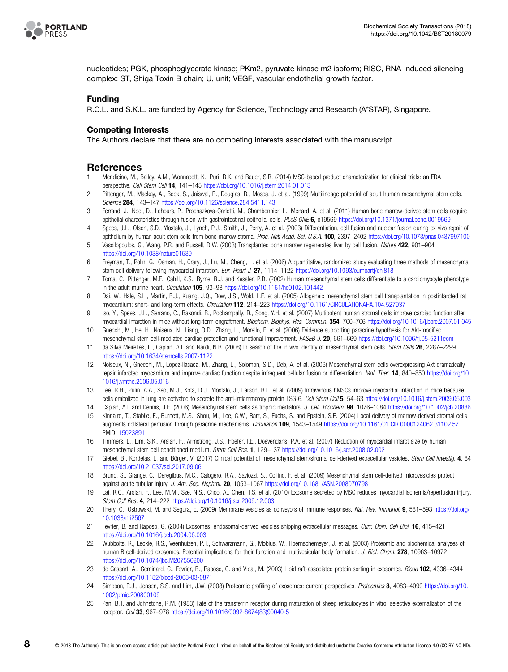

<span id="page-7-0"></span>

nucleotides; PGK, phosphoglycerate kinase; PKm2, pyruvate kinase m2 isoform; RISC, RNA-induced silencing complex; ST, Shiga Toxin B chain; U, unit; VEGF, vascular endothelial growth factor.

#### Funding

R.C.L. and S.K.L. are funded by Agency for Science, Technology and Research (A\*STAR), Singapore.

#### Competing Interests

The Authors declare that there are no competing interests associated with the manuscript.

#### References

- 1 Mendicino, M., Bailey, A.M., Wonnacott, K., Puri, R.K. and Bauer, S.R. (2014) MSC-based product characterization for clinical trials: an FDA perspective. Cell Stem Cell 14, 141–145 <https://doi.org/10.1016/j.stem.2014.01.013>
- 2 Pittenger, M., Mackay, A., Beck, S., Jaiswal, R., Douglas, R., Mosca, J. et al. (1999) Multilineage potential of adult human mesenchymal stem cells. Science 284, 143–147 <https://doi.org/10.1126/science.284.5411.143>
- 3 Ferrand, J., Noel, D., Lehours, P., Prochazkova-Carlotti, M., Chambonnier, L., Menard, A. et al. (2011) Human bone marrow-derived stem cells acquire epithelial characteristics through fusion with gastrointestinal epithelial cells. PLoS ONE 6, e19569 <https://doi.org/10.1371/journal.pone.0019569>
- 4 Spees, J.L., Olson, S.D., Ylostalo, J., Lynch, P.J., Smith, J., Perry, A. et al. (2003) Differentiation, cell fusion and nuclear fusion during ex vivo repair of epithelium by human adult stem cells from bone marrow stroma. Proc. Natl Acad. Sci. U.S.A. 100, 2397–2402 <https://doi.org/10.1073/pnas.0437997100>
- 5 Vassilopoulos, G., Wang, P.R. and Russell, D.W. (2003) Transplanted bone marrow regenerates liver by cell fusion. Nature 422, 901-904 <https://doi.org/10.1038/nature01539>
- 6 Freyman, T., Polin, G., Osman, H., Crary, J., Lu, M., Cheng, L. et al. (2006) A quantitative, randomized study evaluating three methods of mesenchymal stem cell delivery following myocardial infarction. Eur. Heart J. 27, 1114-1122 <https://doi.org/10.1093/eurheartj/ehi818>
- 7 Toma, C., Pittenger, M.F., Cahill, K.S., Byrne, B.J. and Kessler, P.D. (2002) Human mesenchymal stem cells differentiate to a cardiomyocyte phenotype in the adult murine heart. Circulation 105, 93-98 <https://doi.org/10.1161/hc0102.101442>
- 8 Dai, W., Hale, S.L., Martin, B.J., Kuang, J.Q., Dow, J.S., Wold, L.E. et al. (2005) Allogeneic mesenchymal stem cell transplantation in postinfarcted rat myocardium: short- and long-term effects. Circulation 112, 214–223 <https://doi.org/10.1161/CIRCULATIONAHA.104.527937>
- 9 Iso, Y., Spees, J.L., Serrano, C., Bakondi, B., Pochampally, R., Song, Y.H. et al. (2007) Multipotent human stromal cells improve cardiac function after myocardial infarction in mice without long-term engraftment. Biochem. Biophys. Res. Commun. 354, 700–706 <https://doi.org/10.1016/j.bbrc.2007.01.045>
- 10 Gnecchi, M., He, H., Noiseux, N., Liang, O.D., Zhang, L., Morello, F. et al. (2006) Evidence supporting paracrine hypothesis for Akt-modified mesenchymal stem cell-mediated cardiac protection and functional improvement. FASEB J. 20, 661–669 <https://doi.org/10.1096/fj.05-5211com>
- 11 da Silva Meirelles, L., Caplan, A.I. and Nardi, N.B. (2008) In search of the in vivo identity of mesenchymal stem cells. Stem Cells 26, 2287–2299 <https://doi.org/10.1634/stemcells.2007-1122>
- 12 Noiseux, N., Gnecchi, M., Lopez-Ilasaca, M., Zhang, L., Solomon, S.D., Deb, A. et al. (2006) Mesenchymal stem cells overexpressing Akt dramatically repair infarcted myocardium and improve cardiac function despite infrequent cellular fusion or differentiation. Mol. Ther. 14, 840-850 [https://doi.org/10.](https://doi.org/10.1016/j.ymthe.2006.05.016) [1016/j.ymthe.2006.05.016](https://doi.org/10.1016/j.ymthe.2006.05.016)
- 13 Lee, R.H., Pulin, A.A., Seo, M.J., Kota, D.J., Ylostalo, J., Larson, B.L. et al. (2009) Intravenous hMSCs improve myocardial infarction in mice because cells embolized in lung are activated to secrete the anti-inflammatory protein TSG-6. Cell Stem Cell 5, 54–63 <https://doi.org/10.1016/j.stem.2009.05.003>
- 14 Caplan, A.I. and Dennis, J.E. (2006) Mesenchymal stem cells as trophic mediators. J. Cell. Biochem. 98, 1076–1084 <https://doi.org/10.1002/jcb.20886>
- 15 Kinnaird, T., Stabile, E., Burnett, M.S., Shou, M., Lee, C.W., Barr, S., Fuchs, S. and Epstein, S.E. (2004) Local delivery of marrow-derived stromal cells augments collateral perfusion through paracrine mechanisms. Circulation 109, 1543-1549 <https://doi.org/10.1161/01.CIR.0000124062.31102.57> PMID: [15023891](http://www.ncbi.nlm.nih.gov/pubmed/15023891)
- 16 Timmers, L., Lim, S.K., Arslan, F., Armstrong, J.S., Hoefer, I.E., Doevendans, P.A. et al. (2007) Reduction of myocardial infarct size by human mesenchymal stem cell conditioned medium. Stem Cell Res. 1, 129–137 <https://doi.org/10.1016/j.scr.2008.02.002>
- 17 Giebel, B., Kordelas, L. and Börger, V. (2017) Clinical potential of mesenchymal stem/stromal cell-derived extracellular vesicles. Stem Cell Investig. 4, 84 <https://doi.org/10.21037/sci.2017.09.06>
- 18 Bruno, S., Grange, C., Deregibus, M.C., Calogero, R.A., Saviozzi, S., Collino, F. et al. (2009) Mesenchymal stem cell-derived microvesicles protect against acute tubular injury. J. Am. Soc. Nephrol. 20, 1053–1067 <https://doi.org/10.1681/ASN.2008070798>
- 19 Lai, R.C., Arslan, F., Lee, M.M., Sze, N.S., Choo, A., Chen, T.S. et al. (2010) Exosome secreted by MSC reduces myocardial ischemia/reperfusion injury. Stem Cell Res. 4, 214–222 <https://doi.org/10.1016/j.scr.2009.12.003>
- 20 Thery, C., Ostrowski, M. and Segura, E. (2009) Membrane vesicles as conveyors of immune responses. Nat. Rev. Immunol. 9, 581-593 [https://doi.org/](https://doi.org/10.1038/nri2567) [10.1038/nri2567](https://doi.org/10.1038/nri2567)
- 21 Fevrier, B. and Raposo, G. (2004) Exosomes: endosomal-derived vesicles shipping extracellular messages. Curr. Opin. Cell Biol. 16, 415–421 <https://doi.org/10.1016/j.ceb.2004.06.003>
- 22 Wubbolts, R., Leckie, R.S., Veenhuizen, P.T., Schwarzmann, G., Mobius, W., Hoernschemeyer, J. et al. (2003) Proteomic and biochemical analyses of human B cell-derived exosomes. Potential implications for their function and multivesicular body formation. J. Biol. Chem. 278, 10963-10972 <https://doi.org/10.1074/jbc.M207550200>
- 23 de Gassart, A., Geminard, C., Fevrier, B., Raposo, G. and Vidal, M. (2003) Lipid raft-associated protein sorting in exosomes. Blood 102, 4336-4344 <https://doi.org/10.1182/blood-2003-03-0871>
- 24 Simpson, R.J., Jensen, S.S. and Lim, J.W. (2008) Proteomic profiling of exosomes: current perspectives. Proteomics 8, 4083-4099 [https://doi.org/10.](https://doi.org/10.1002/pmic.200800109) [1002/pmic.200800109](https://doi.org/10.1002/pmic.200800109)
- 25 Pan, B.T. and Johnstone, R.M. (1983) Fate of the transferrin receptor during maturation of sheep reticulocytes in vitro: selective externalization of the receptor. Cell 33, 967–978 [https://doi.org/10.1016/0092-8674\(83\)90040-5](https://doi.org/10.1016/0092-8674(83)90040-5)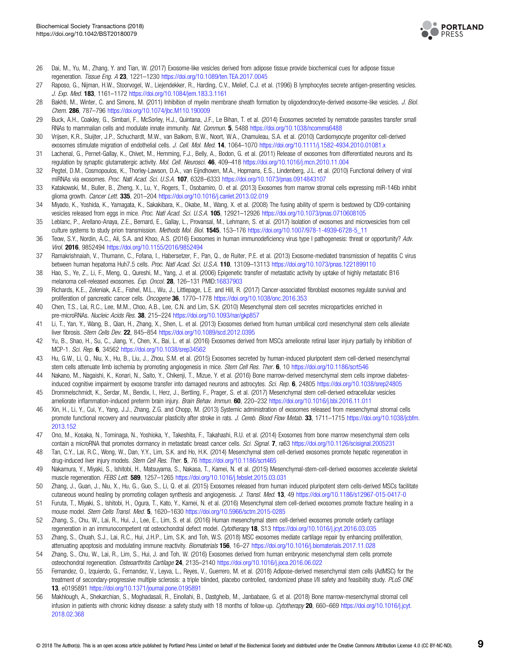

- <span id="page-8-0"></span>26 Dai, M., Yu, M., Zhang, Y. and Tian, W. (2017) Exosome-like vesicles derived from adipose tissue provide biochemical cues for adipose tissue regeneration. Tissue Eng. A 23, 1221–1230 <https://doi.org/10.1089/ten.TEA.2017.0045>
- 27 Raposo, G., Nijman, H.W., Stoorvogel, W., Liejendekker, R., Harding, C.V., Melief, C.J. et al. (1996) B lymphocytes secrete antigen-presenting vesicles. J. Exp. Med. 183, 1161–1172 <https://doi.org/10.1084/jem.183.3.1161>
- 28 Bakhti, M., Winter, C. and Simons, M. (2011) Inhibition of myelin membrane sheath formation by oligodendrocyte-derived exosome-like vesicles. J. Biol. Chem. 286, 787–796 <https://doi.org/10.1074/jbc.M110.190009>
- 29 Buck, A.H., Coakley, G., Simbari, F., McSorley, H.J., Quintana, J.F., Le Bihan, T. et al. (2014) Exosomes secreted by nematode parasites transfer small RNAs to mammalian cells and modulate innate immunity. Nat. Commun. 5, 5488 <https://doi.org/10.1038/ncomms6488>
- 30 Vrijsen, K.R., Sluijter, J.P., Schuchardt, M.W., van Balkom, B.W., Noort, W.A., Chamuleau, S.A. et al. (2010) Cardiomyocyte progenitor cell-derived exosomes stimulate migration of endothelial cells. J. Cell. Mol. Med. 14, 1064–1070 <https://doi.org/10.1111/j.1582-4934.2010.01081.x>
- 31 Lachenal, G., Pernet-Gallay, K., Chivet, M., Hemming, F.J., Belly, A., Bodon, G. et al. (2011) Release of exosomes from differentiated neurons and its regulation by synaptic glutamatergic activity. Mol. Cell. Neurosci. 46, 409-418 <https://doi.org/10.1016/j.mcn.2010.11.004>
- 32 Pegtel, D.M., Cosmopoulos, K., Thorley-Lawson, D.A., van Eijndhoven, M.A., Hopmans, E.S., Lindenberg, J.L. et al. (2010) Functional delivery of viral miRNAs via exosomes. Proc. Natl Acad. Sci. U.S.A. 107, 6328–6333 <https://doi.org/10.1073/pnas.0914843107>
- 33 Katakowski, M., Buller, B., Zheng, X., Lu, Y., Rogers, T., Osobamiro, O. et al. (2013) Exosomes from marrow stromal cells expressing miR-146b inhibit glioma growth. Cancer Lett. 335, 201-204 <https://doi.org/10.1016/j.canlet.2013.02.019>
- 34 Miyado, K., Yoshida, K., Yamagata, K., Sakakibara, K., Okabe, M., Wang, X. et al. (2008) The fusing ability of sperm is bestowed by CD9-containing vesicles released from eggs in mice. Proc. Natl Acad. Sci. U.S.A. 105, 12921-12926 <https://doi.org/10.1073/pnas.0710608105>
- 35 Leblanc, P., Arellano-Anaya, Z.E., Bernard, E., Gallay, L., Provansal, M., Lehmann, S. et al. (2017) Isolation of exosomes and microvesicles from cell culture systems to study prion transmission. Methods Mol. Biol. 1545, 153–176 [https://doi.org/10.1007/978-1-4939-6728-5\\_11](https://doi.org/10.1007/978-1-4939-6728-5_11)
- 36 Teow, S.Y., Nordin, A.C., Ali, S.A. and Khoo, A.S. (2016) Exosomes in human immunodeficiency virus type I pathogenesis: threat or opportunity? Adv. Virol. 2016, 9852494 <https://doi.org/10.1155/2016/9852494>
- 37 Ramakrishnaiah, V., Thumann, C., Fofana, I., Habersetzer, F., Pan, Q., de Ruiter, P.E. et al. (2013) Exosome-mediated transmission of hepatitis C virus between human hepatoma Huh7.5 cells. Proc. Natl Acad. Sci. U.S.A. 110, 13109–13113 <https://doi.org/10.1073/pnas.1221899110>
- 38 Hao, S., Ye, Z., Li, F., Meng, Q., Qureshi, M., Yang, J. et al. (2006) Epigenetic transfer of metastatic activity by uptake of highly metastatic B16 melanoma cell-released exosomes. Exp. Oncol. 28, 126–131 PMID:[16837903](http://www.ncbi.nlm.nih.gov/pubmed/16837903)
- 39 Richards, K.E., Zeleniak, A.E., Fishel, M.L., Wu, J., Littlepage, L.E. and Hill, R. (2017) Cancer-associated fibroblast exosomes regulate survival and proliferation of pancreatic cancer cells. Oncogene 36, 1770–1778 <https://doi.org/10.1038/onc.2016.353>
- 40 Chen, T.S., Lai, R.C., Lee, M.M., Choo, A.B., Lee, C.N. and Lim, S.K. (2010) Mesenchymal stem cell secretes microparticles enriched in pre-microRNAs. Nucleic Acids Res. 38, 215-224 <https://doi.org/10.1093/nar/gkp857>
- 41 Li, T., Yan, Y., Wang, B., Qian, H., Zhang, X., Shen, L. et al. (2013) Exosomes derived from human umbilical cord mesenchymal stem cells alleviate liver fibrosis. Stem Cells Dev. 22, 845–854 <https://doi.org/10.1089/scd.2012.0395>
- 42 Yu, B., Shao, H., Su, C., Jiang, Y., Chen, X., Bai, L. et al. (2016) Exosomes derived from MSCs ameliorate retinal laser injury partially by inhibition of MCP-1. Sci. Rep. 6, 34562 <https://doi.org/10.1038/srep34562>
- 43 Hu, G.W., Li, Q., Niu, X., Hu, B., Liu, J., Zhou, S.M. et al. (2015) Exosomes secreted by human-induced pluripotent stem cell-derived mesenchymal stem cells attenuate limb ischemia by promoting angiogenesis in mice. Stem Cell Res. Ther. 6, 10 <https://doi.org/10.1186/scrt546>
- 44 Nakano, M., Nagaishi, K., Konari, N., Saito, Y., Chikenji, T., Mizue, Y. et al. (2016) Bone marrow-derived mesenchymal stem cells improve diabetesinduced cognitive impairment by exosome transfer into damaged neurons and astrocytes. Sci. Rep. 6, 24805 <https://doi.org/10.1038/srep24805>
- 45 Drommelschmidt, K., Serdar, M., Bendix, I., Herz, J., Bertling, F., Prager, S. et al. (2017) Mesenchymal stem cell-derived extracellular vesicles ameliorate inflammation-induced preterm brain injury. Brain Behav. Immun. 60, 220–232 <https://doi.org/10.1016/j.bbi.2016.11.011>
- 46 Xin, H., Li, Y., Cui, Y., Yang, J.J., Zhang, Z.G. and Chopp, M. (2013) Systemic administration of exosomes released from mesenchymal stromal cells promote functional recovery and neurovascular plasticity after stroke in rats. J. Cereb. Blood Flow Metab. 33, 1711-1715 [https://doi.org/10.1038/jcbfm.](https://doi.org/10.1038/jcbfm.2013.152) [2013.152](https://doi.org/10.1038/jcbfm.2013.152)
- 47 Ono, M., Kosaka, N., Tominaga, N., Yoshioka, Y., Takeshita, F., Takahashi, R.U. et al. (2014) Exosomes from bone marrow mesenchymal stem cells contain a microRNA that promotes dormancy in metastatic breast cancer cells. Sci. Signal. 7, ra63 <https://doi.org/10.1126/scisignal.2005231>
- 48 Tan, C.Y., Lai, R.C., Wong, W., Dan, Y.Y., Lim, S.K. and Ho, H.K. (2014) Mesenchymal stem cell-derived exosomes promote hepatic regeneration in drug-induced liver injury models. Stem Cell Res. Ther. 5, 76 <https://doi.org/10.1186/scrt465>
- 49 Nakamura, Y., Miyaki, S., Ishitobi, H., Matsuyama, S., Nakasa, T., Kamei, N. et al. (2015) Mesenchymal-stem-cell-derived exosomes accelerate skeletal muscle regeneration. FEBS Lett. 589, 1257–1265 <https://doi.org/10.1016/j.febslet.2015.03.031>
- 50 Zhang, J., Guan, J., Niu, X., Hu, G., Guo, S., Li, Q. et al. (2015) Exosomes released from human induced pluripotent stem cells-derived MSCs facilitate cutaneous wound healing by promoting collagen synthesis and angiogenesis. J. Transl. Med. 13, 49 <https://doi.org/10.1186/s12967-015-0417-0>
- 51 Furuta, T., Miyaki, S., Ishitobi, H., Ogura, T., Kato, Y., Kamei, N. et al. (2016) Mesenchymal stem cell-derived exosomes promote fracture healing in a mouse model. Stem Cells Transl. Med. 5, 1620–1630 <https://doi.org/10.5966/sctm.2015-0285>
- 52 Zhang, S., Chu, W., Lai, R., Hui, J., Lee, E., Lim, S. et al. (2016) Human mesenchymal stem cell-derived exosomes promote orderly cartilage regeneration in an immunocompetent rat osteochondral defect model. Cytotherapy 18, S13 <https://doi.org/10.1016/j.jcyt.2016.03.035>
- 53 Zhang, S., Chuah, S.J., Lai, R.C., Hui, J.H.P., Lim, S.K. and Toh, W.S. (2018) MSC exosomes mediate cartilage repair by enhancing proliferation, attenuating apoptosis and modulating immune reactivity. Biomaterials 156, 16–27 <https://doi.org/10.1016/j.biomaterials.2017.11.028>
- 54 Zhang, S., Chu, W., Lai, R., Lim, S., Hui, J. and Toh, W. (2016) Exosomes derived from human embryonic mesenchymal stem cells promote osteochondral regeneration. Osteoarthritis Cartilage 24, 2135–2140 <https://doi.org/10.1016/j.joca.2016.06.022>
- 55 Fernandez, O., Izquierdo, G., Fernandez, V., Leyva, L., Reyes, V., Guerrero, M. et al. (2018) Adipose-derived mesenchymal stem cells (AdMSC) for the treatment of secondary-progressive multiple sclerosis: a triple blinded, placebo controlled, randomized phase I/II safety and feasibility study. PLoS ONE 13, e0195891 <https://doi.org/10.1371/journal.pone.0195891>
- 56 Makhlough, A., Shekarchian, S., Moghadasali, R., Einollahi, B., Dastgheib, M., Janbabaee, G. et al. (2018) Bone marrow-mesenchymal stromal cell infusion in patients with chronic kidney disease: a safety study with 18 months of follow-up. Cytotherapy 20, 660–669 [https://doi.org/10.1016/j.jcyt.](https://doi.org/10.1016/j.jcyt.2018.02.368) [2018.02.368](https://doi.org/10.1016/j.jcyt.2018.02.368)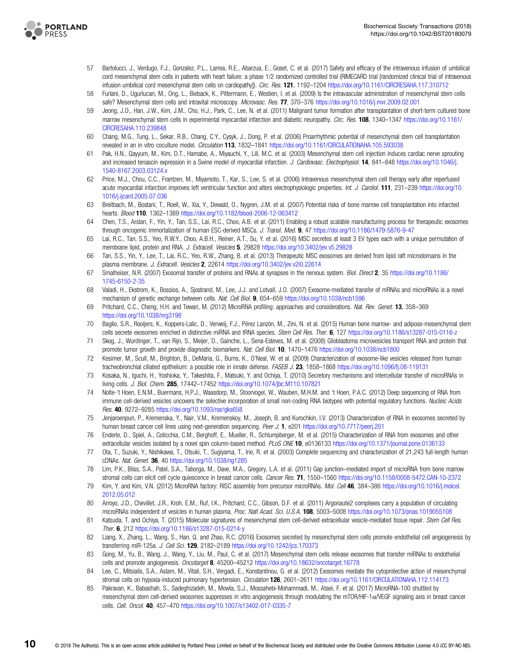<span id="page-9-0"></span>

- 57 Bartolucci, J., Verdugo, F.J., Gonzalez, P.L., Larrea, R.E., Abarzua, E., Goset, C. et al. (2017) Safety and efficacy of the intravenous infusion of umbilical cord mesenchymal stem cells in patients with heart failure: a phase 1/2 randomized controlled trial (RIMECARD trial [randomized clinical trial of intravenous infusion umbilical cord mesenchymal stem cells on cardiopathy]). Circ. Res. 121, 1192-1204 <https://doi.org/10.1161/CIRCRESAHA.117.310712>
- 58 Furlani, D., Ugurlucan, M., Ong, L., Bieback, K., Pittermann, E., Westien, I. et al. (2009) Is the intravascular administration of mesenchymal stem cells safe? Mesenchymal stem cells and intravital microscopy. Microvasc. Res. 77, 370–376 <https://doi.org/10.1016/j.mvr.2009.02.001>
- 59 Jeong, J.O., Han, J.W., Kim, J.M., Cho, H.J., Park, C., Lee, N. et al. (2011) Malignant tumor formation after transplantation of short-term cultured bone marrow mesenchymal stem cells in experimental myocardial infarction and diabetic neuropathy. Circ. Res. 108, 1340-1347 [https://doi.org/10.1161/](https://doi.org/10.1161/CIRCRESAHA.110.239848) [CIRCRESAHA.110.239848](https://doi.org/10.1161/CIRCRESAHA.110.239848)
- 60 Chang, M.G., Tung, L., Sekar, R.B., Chang, C.Y., Cysyk, J., Dong, P. et al. (2006) Proarrhythmic potential of mesenchymal stem cell transplantation revealed in an in vitro coculture model. Circulation 113, 1832-1841 <https://doi.org/10.1161/CIRCULATIONAHA.105.593038>
- 61 Pak, H.N., Qayyum, M., Kim, D.T., Hamabe, A., Miyauchi, Y., Lill, M.C. et al. (2003) Mesenchymal stem cell injection induces cardiac nerve sprouting and increased tenascin expression in a Swine model of myocardial infarction. J. Cardiovasc. Electrophysiol. 14, 841-848 [https://doi.org/10.1046/j.](https://doi.org/10.1046/j.1540-8167.2003.03124.x) [1540-8167.2003.03124.x](https://doi.org/10.1046/j.1540-8167.2003.03124.x)
- 62 Price, M.J., Chou, C.C., Frantzen, M., Miyamoto, T., Kar, S., Lee, S. et al. (2006) Intravenous mesenchymal stem cell therapy early after reperfused acute myocardial infarction improves left ventricular function and alters electrophysiologic properties. Int. J. Cardiol. 111, 231–239 [https://doi.org/10.](https://doi.org/10.1016/j.ijcard.2005.07.036) [1016/j.ijcard.2005.07.036](https://doi.org/10.1016/j.ijcard.2005.07.036)
- 63 Breitbach, M., Bostani, T., Roell, W., Xia, Y., Dewald, O., Nygren, J.M. et al. (2007) Potential risks of bone marrow cell transplantation into infarcted hearts. Blood 110, 1362–1369 <https://doi.org/10.1182/blood-2006-12-063412>
- 64 Chen, T.S., Arslan, F., Yin, Y., Tan, S.S., Lai, R.C., Choo, A.B. et al. (2011) Enabling a robust scalable manufacturing process for therapeutic exosomes through oncogenic immortalization of human ESC-derived MSCs. J. Transl. Med. 9, 47 <https://doi.org/10.1186/1479-5876-9-47>
- 65 Lai, R.C., Tan, S.S., Yeo, R.W.Y., Choo, A.B.H., Reiner, A.T., Su, Y. et al. (2016) MSC secretes at least 3 EV types each with a unique permutation of membrane lipid, protein and RNA. J. Extracell. Vesicles 5, 29828 <https://doi.org/10.3402/jev.v5.29828>
- 66 Tan, S.S., Yin, Y., Lee, T., Lai, R.C., Yeo, R.W., Zhang, B. et al. (2013) Therapeutic MSC exosomes are derived from lipid raft microdomains in the plasma membrane. J. Extracell. Vesicles 2, 22614 <https://doi.org/10.3402/jev.v2i0.22614>
- 67 Smalheiser, N.R. (2007) Exosomal transfer of proteins and RNAs at synapses in the nervous system. Biol. Direct 2, 35 [https://doi.org/10.1186/](https://doi.org/10.1186/1745-6150-2-35) [1745-6150-2-35](https://doi.org/10.1186/1745-6150-2-35)
- 68 Valadi, H., Ekstrom, K., Bossios, A., Sjostrand, M., Lee, J.J. and Lotvall, J.O. (2007) Exosome-mediated transfer of mRNAs and microRNAs is a novel mechanism of genetic exchange between cells. Nat. Cell Biol. 9, 654-659 <https://doi.org/10.1038/ncb1596>
- 69 Pritchard, C.C., Cheng, H.H. and Tewari, M. (2012) MicroRNA profiling: approaches and considerations. Nat. Rev. Genet. 13, 358–369 <https://doi.org/10.1038/nrg3198>
- 70 Baglio, S.R., Rooijers, K., Koppers-Lalic, D., Verweij, F.J., Pérez Lanzón, M., Zini, N. et al. (2015) Human bone marrow- and adipose-mesenchymal stem cells secrete exosomes enriched in distinctive miRNA and tRNA species. Stem Cell Res. Ther. 6, 127 <https://doi.org/10.1186/s13287-015-0116-z>
- 71 Skog, J., Wurdinger, T., van Rijn, S., Meijer, D., Gainche, L., Sena-Esteves, M. et al. (2008) Glioblastoma microvesicles transport RNA and protein that promote tumor growth and provide diagnostic biomarkers. Nat. Cell Biol. 10, 1470–1476 <https://doi.org/10.1038/ncb1800>
- 72 Kesimer, M., Scull, M., Brighton, B., DeMaria, G., Burns, K., O'Neal, W. et al. (2009) Characterization of exosome-like vesicles released from human tracheobronchial ciliated epithelium: a possible role in innate defense. FASEB J. 23, 1858–1868 <https://doi.org/10.1096/fj.08-119131>
- 73 Kosaka, N., Iguchi, H., Yoshioka, Y., Takeshita, F., Matsuki, Y. and Ochiya, T. (2010) Secretory mechanisms and intercellular transfer of microRNAs in living cells. J. Biol. Chem. 285, 17442–17452 <https://doi.org/10.1074/jbc.M110.107821>
- 74 Nolte-'t Hoen, E.N.M., Buermans, H.P.J., Waasdorp, M., Stoorvogel, W., Wauben, M.H.M. and 't Hoen, P.A.C. (2012) Deep sequencing of RNA from immune cell-derived vesicles uncovers the selective incorporation of small non-coding RNA biotypes with potential regulatory functions. Nucleic Acids Res. 40, 9272–9285 <https://doi.org/10.1093/nar/gks658>
- 75 Jenjaroenpun, P., Kremenska, Y., Nair, V.M., Kremenskoy, M., Joseph, B. and Kurochkin, I.V. (2013) Characterization of RNA in exosomes secreted by human breast cancer cell lines using next-generation sequencing. Peer J. 1, e201 <https://doi.org/10.7717/peerj.201>
- 76 Enderle, D., Spiel, A., Coticchia, C.M., Berghoff, E., Mueller, R., Schlumpberger, M. et al. (2015) Characterization of RNA from exosomes and other extracellular vesicles isolated by a novel spin column-based method. PLoS ONE 10, e0136133 <https://doi.org/10.1371/journal.pone.0136133>
- 77 Ota, T., Suzuki, Y., Nishikawa, T., Otsuki, T., Sugiyama, T., Irie, R. et al. (2003) Complete sequencing and characterization of 21,243 full-length human cDNAs. Nat. Genet. 36, 40 <https://doi.org/10.1038/ng1285>
- 78 Lim, P.K., Bliss, S.A., Patel, S.A., Taborga, M., Dave, M.A., Gregory, L.A. et al. (2011) Gap junction–mediated import of microRNA from bone marrow stromal cells can elicit cell cycle quiescence in breast cancer cells. Cancer Res. 71, 1550-1560 <https://doi.org/10.1158/0008-5472.CAN-10-2372>
- 79 Kim, Y. and Kim, V.N. (2012) MicroRNA factory: RISC assembly from precursor microRNAs. Mol. Cell 46, 384-386 [https://doi.org/10.1016/j.molcel.](https://doi.org/10.1016/j.molcel.2012.05.012) [2012.05.012](https://doi.org/10.1016/j.molcel.2012.05.012)
- 80 Arroyo, J.D., Chevillet, J.R., Kroh, E.M., Ruf, I.K., Pritchard, C.C., Gibson, D.F. et al. (2011) Argonaute2 complexes carry a population of circulating microRNAs independent of vesicles in human plasma. Proc. Natl Acad. Sci. U.S.A. 108, 5003-5008 <https://doi.org/10.1073/pnas.1019055108>
- 81 Katsuda, T. and Ochiya, T. (2015) Molecular signatures of mesenchymal stem cell-derived extracellular vesicle-mediated tissue repair. Stem Cell Res. Ther. 6, 212 <https://doi.org/10.1186/s13287-015-0214-y>
- 82 Liang, X., Zhang, L., Wang, S., Han, Q. and Zhao, R.C. (2016) Exosomes secreted by mesenchymal stem cells promote endothelial cell angiogenesis by transferring miR-125a. J. Cell Sci. 129, 2182-2189 <https://doi.org/10.1242/jcs.170373>
- 83 Gong, M., Yu, B., Wang, J., Wang, Y., Liu, M., Paul, C. et al. (2017) Mesenchymal stem cells release exosomes that transfer miRNAs to endothelial cells and promote angiogenesis. Oncotarget 8, 45200-45212 <https://doi.org/10.18632/oncotarget.16778>
- 84 Lee, C., Mitsialis, S.A., Aslam, M., Vitali, S.H., Vergadi, E., Konstantinou, G. et al. (2012) Exosomes mediate the cytoprotective action of mesenchymal stromal cells on hypoxia-induced pulmonary hypertension. Circulation 126, 2601–2611 <https://doi.org/10.1161/CIRCULATIONAHA.112.114173>
- 85 Pakravan, K., Babashah, S., Sadeghizadeh, M., Mowla, S.J., Mossahebi-Mohammadi, M., Ataei, F. et al. (2017) MicroRNA-100 shuttled by mesenchymal stem cell-derived exosomes suppresses in vitro angiogenesis through modulating the mTOR/HIF-1α/VEGF signaling axis in breast cancer cells. Cell. Oncol. 40, 457–470 <https://doi.org/10.1007/s13402-017-0335-7>